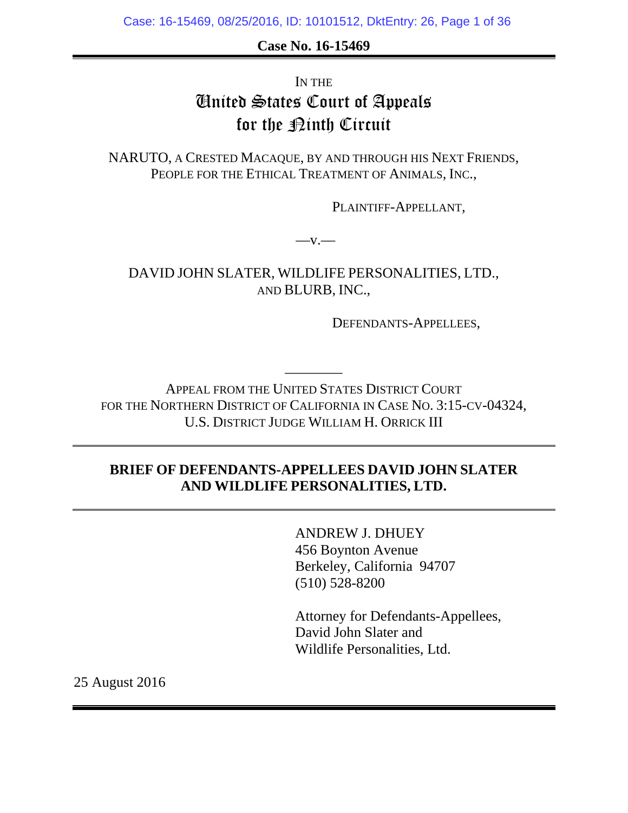**Case No. 16-15469** 

# IN THE United States Court of Appeals for the  $\mathcal{D}$ inth Circuit

NARUTO, A CRESTED MACAQUE, BY AND THROUGH HIS NEXT FRIENDS, PEOPLE FOR THE ETHICAL TREATMENT OF ANIMALS, INC.,

PLAINTIFF-APPELLANT*,* 

 $-v.$ 

DAVID JOHN SLATER, WILDLIFE PERSONALITIES, LTD., AND BLURB, INC.,

DEFENDANTS-APPELLEES,

APPEAL FROM THE UNITED STATES DISTRICT COURT FOR THE NORTHERN DISTRICT OF CALIFORNIA IN CASE NO. 3:15-CV-04324, U.S. DISTRICT JUDGE WILLIAM H. ORRICK III

––––––––

## **BRIEF OF DEFENDANTS-APPELLEES DAVID JOHN SLATER AND WILDLIFE PERSONALITIES, LTD.**

ANDREW J. DHUEY 456 Boynton Avenue Berkeley, California 94707 (510) 528-8200

 Attorney for Defendants-Appellees, David John Slater and Wildlife Personalities, Ltd.

25 August 2016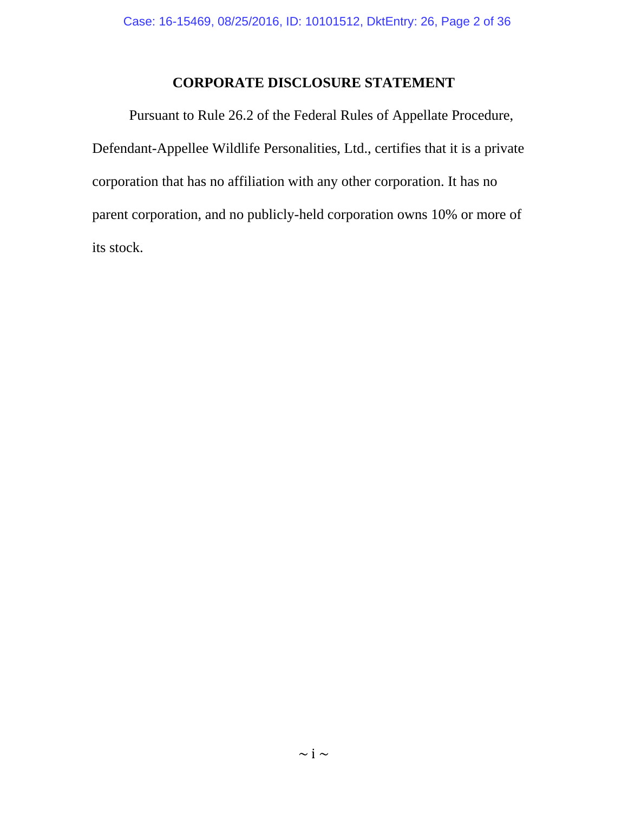## **CORPORATE DISCLOSURE STATEMENT**

 Pursuant to Rule 26.2 of the Federal Rules of Appellate Procedure, Defendant-Appellee Wildlife Personalities, Ltd., certifies that it is a private corporation that has no affiliation with any other corporation. It has no parent corporation, and no publicly-held corporation owns 10% or more of its stock.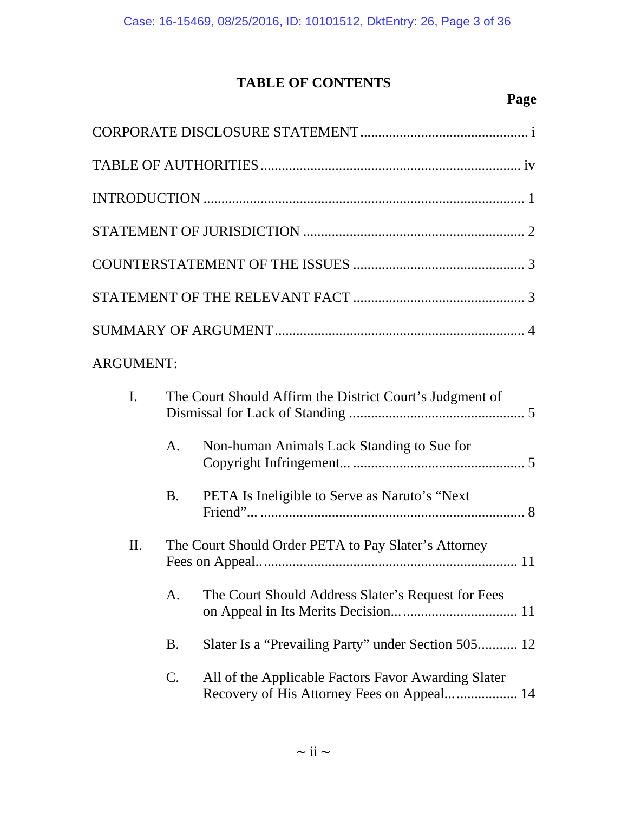# **TABLE OF CONTENTS**

## **Page**

| <b>ARGUMENT:</b> |                |                                                                                                   |
|------------------|----------------|---------------------------------------------------------------------------------------------------|
| $\mathbf{I}$ .   |                | The Court Should Affirm the District Court's Judgment of                                          |
|                  | A <sub>1</sub> | Non-human Animals Lack Standing to Sue for                                                        |
|                  | <b>B.</b>      | PETA Is Ineligible to Serve as Naruto's "Next"                                                    |
| II.              |                | The Court Should Order PETA to Pay Slater's Attorney                                              |
|                  | A.             | The Court Should Address Slater's Request for Fees                                                |
|                  | <b>B.</b>      | Slater Is a "Prevailing Party" under Section 505 12                                               |
|                  | $\mathbf{C}$ . | All of the Applicable Factors Favor Awarding Slater<br>Recovery of His Attorney Fees on Appeal 14 |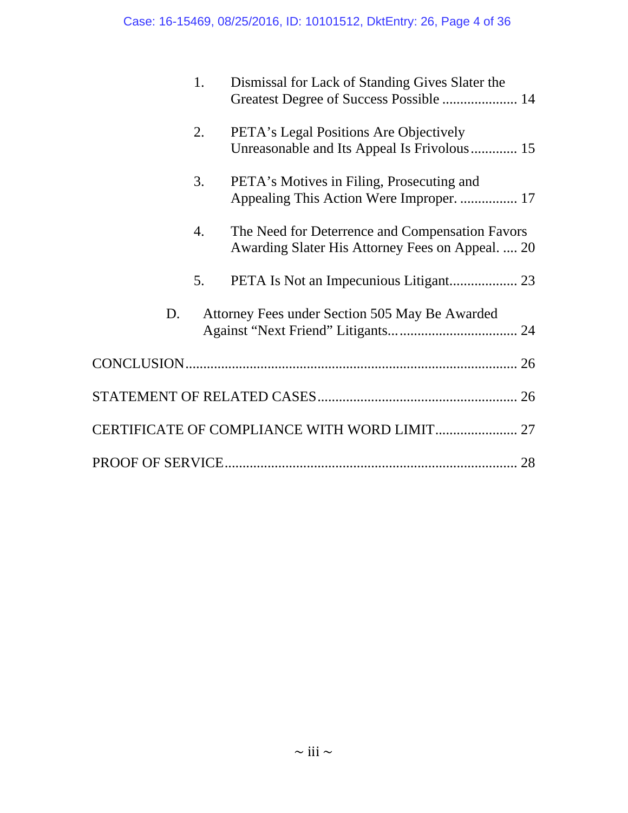|    | 1. | Dismissal for Lack of Standing Gives Slater the<br>Greatest Degree of Success Possible  14          |
|----|----|-----------------------------------------------------------------------------------------------------|
|    | 2. | PETA's Legal Positions Are Objectively<br>Unreasonable and Its Appeal Is Frivolous 15               |
|    | 3. | PETA's Motives in Filing, Prosecuting and<br>Appealing This Action Were Improper.  17               |
|    | 4. | The Need for Deterrence and Compensation Favors<br>Awarding Slater His Attorney Fees on Appeal.  20 |
|    | 5. |                                                                                                     |
| D. |    | Attorney Fees under Section 505 May Be Awarded                                                      |
|    |    |                                                                                                     |
|    |    |                                                                                                     |
|    |    | CERTIFICATE OF COMPLIANCE WITH WORD LIMIT 27                                                        |
|    |    |                                                                                                     |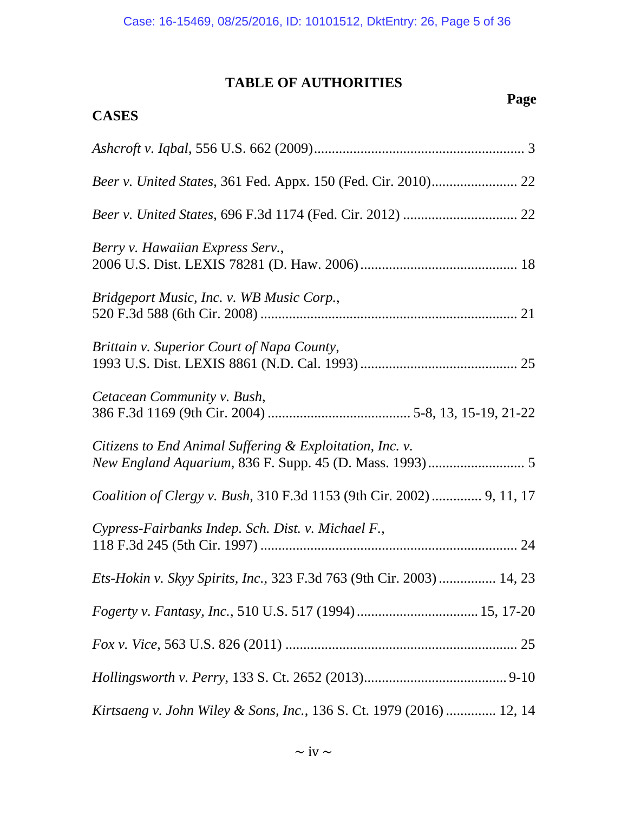## **TABLE OF AUTHORITIES**

**CASES**

# *Page* **Page**

| Berry v. Hawaiian Express Serv.,                                             |
|------------------------------------------------------------------------------|
| Bridgeport Music, Inc. v. WB Music Corp.,                                    |
| Brittain v. Superior Court of Napa County,                                   |
| Cetacean Community v. Bush,                                                  |
| Citizens to End Animal Suffering & Exploitation, Inc. v.                     |
| Coalition of Clergy v. Bush, 310 F.3d 1153 (9th Cir. 2002)  9, 11, 17        |
| Cypress-Fairbanks Indep. Sch. Dist. v. Michael F.,                           |
| <i>Ets-Hokin v. Skyy Spirits, Inc., 323 F.3d 763 (9th Cir. 2003) </i> 14, 23 |
|                                                                              |
|                                                                              |
|                                                                              |
| Kirtsaeng v. John Wiley & Sons, Inc., 136 S. Ct. 1979 (2016)  12, 14         |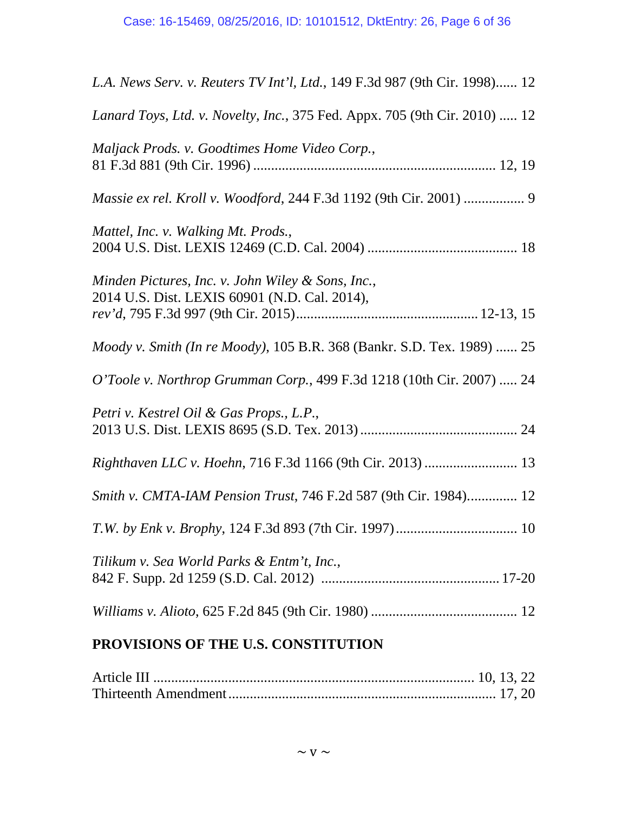| L.A. News Serv. v. Reuters TV Int'l, Ltd., 149 F.3d 987 (9th Cir. 1998) 12                         |
|----------------------------------------------------------------------------------------------------|
| Lanard Toys, Ltd. v. Novelty, Inc., 375 Fed. Appx. 705 (9th Cir. 2010)  12                         |
| Maljack Prods. v. Goodtimes Home Video Corp.,                                                      |
|                                                                                                    |
| Mattel, Inc. v. Walking Mt. Prods.,                                                                |
| Minden Pictures, Inc. v. John Wiley & Sons, Inc.,<br>2014 U.S. Dist. LEXIS 60901 (N.D. Cal. 2014), |
| Moody v. Smith (In re Moody), 105 B.R. 368 (Bankr. S.D. Tex. 1989)  25                             |
| O'Toole v. Northrop Grumman Corp., 499 F.3d 1218 (10th Cir. 2007)  24                              |
| Petri v. Kestrel Oil & Gas Props., L.P.,                                                           |
|                                                                                                    |
| Smith v. CMTA-IAM Pension Trust, 746 F.2d 587 (9th Cir. 1984) 12                                   |
|                                                                                                    |
| Tilikum v. Sea World Parks & Entm't, Inc.,                                                         |
|                                                                                                    |
| PROVISIONS OF THE U.S. CONSTITUTION                                                                |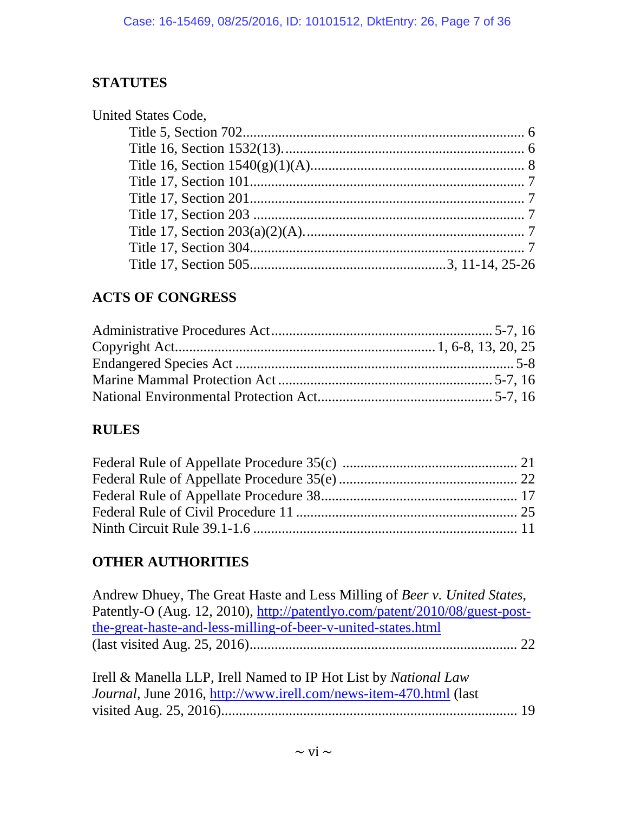## **STATUTES**

## **ACTS OF CONGRESS**

## **RULES**

# **OTHER AUTHORITIES**

| Andrew Dhuey, The Great Haste and Less Milling of Beer v. United States,    |
|-----------------------------------------------------------------------------|
| Patently-O (Aug. 12, 2010), http://patentlyo.com/patent/2010/08/guest-post- |
| the-great-haste-and-less-milling-of-beer-v-united-states.html               |
|                                                                             |
|                                                                             |
| Irell & Manella LLP, Irell Named to IP Hot List by National Law             |
| Journal, June 2016, http://www.irell.com/news-item-470.html (last           |
|                                                                             |
|                                                                             |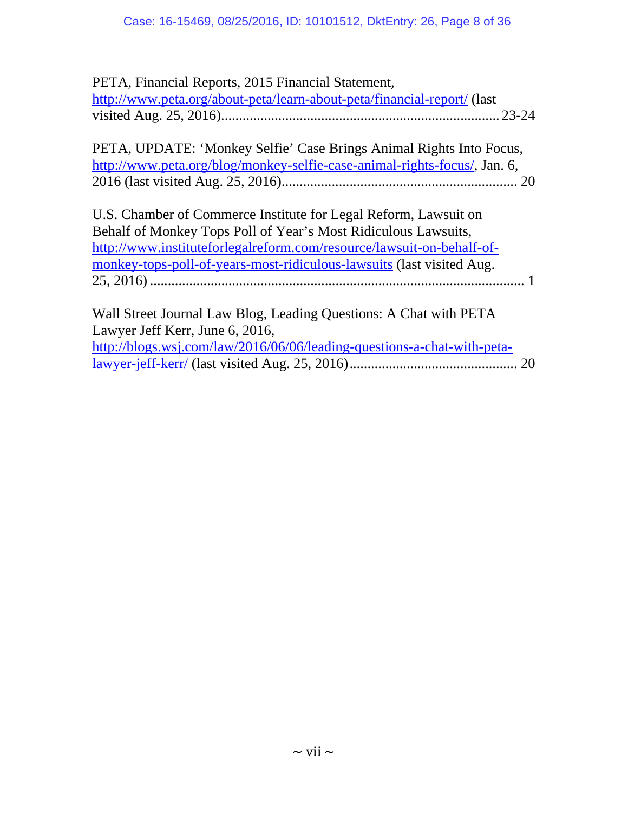| PETA, Financial Reports, 2015 Financial Statement,                        |  |
|---------------------------------------------------------------------------|--|
| http://www.peta.org/about-peta/learn-about-peta/financial-report/ (last   |  |
|                                                                           |  |
| PETA, UPDATE: 'Monkey Selfie' Case Brings Animal Rights Into Focus,       |  |
| http://www.peta.org/blog/monkey-selfie-case-animal-rights-focus/, Jan. 6, |  |
|                                                                           |  |
|                                                                           |  |

| U.S. Chamber of Commerce Institute for Legal Reform, Lawsuit on       |
|-----------------------------------------------------------------------|
| Behalf of Monkey Tops Poll of Year's Most Ridiculous Lawsuits,        |
| http://www.instituteforlegalreform.com/resource/lawsuit-on-behalf-of- |
| monkey-tops-poll-of-years-most-ridiculous-lawsuits (last visited Aug. |
|                                                                       |
|                                                                       |

Wall Street Journal Law Blog, Leading Questions: A Chat with PETA Lawyer Jeff Kerr, June 6, 2016, http://blogs.wsj.com/law/2016/06/06/leading-questions-a-chat-with-petalawyer-jeff-kerr/ (last visited Aug. 25, 2016) ............................................... 20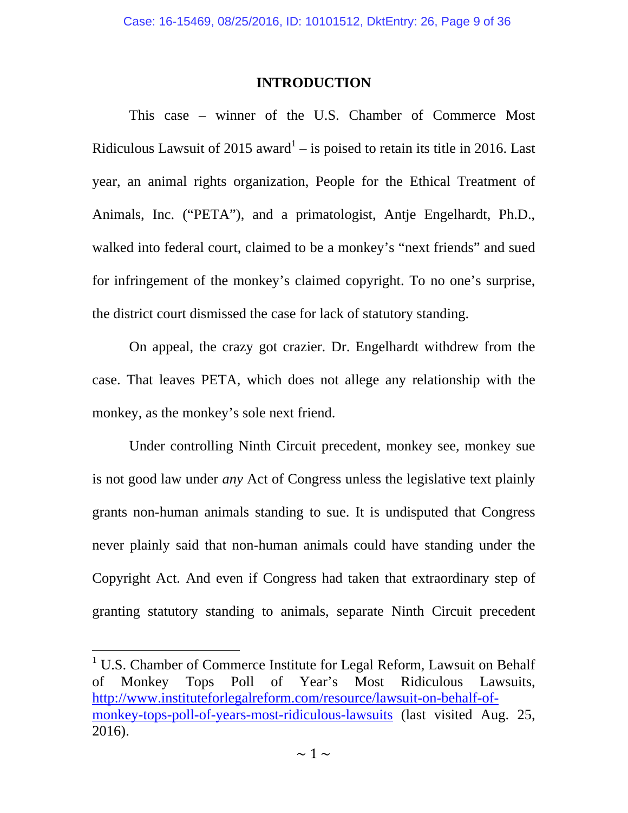### **INTRODUCTION**

 This case – winner of the U.S. Chamber of Commerce Most Ridiculous Lawsuit of 2015 award<sup>1</sup> – is poised to retain its title in 2016. Last year, an animal rights organization, People for the Ethical Treatment of Animals, Inc. ("PETA"), and a primatologist, Antje Engelhardt, Ph.D., walked into federal court, claimed to be a monkey's "next friends" and sued for infringement of the monkey's claimed copyright. To no one's surprise, the district court dismissed the case for lack of statutory standing.

On appeal, the crazy got crazier. Dr. Engelhardt withdrew from the case. That leaves PETA, which does not allege any relationship with the monkey, as the monkey's sole next friend.

 Under controlling Ninth Circuit precedent, monkey see, monkey sue is not good law under *any* Act of Congress unless the legislative text plainly grants non-human animals standing to sue. It is undisputed that Congress never plainly said that non-human animals could have standing under the Copyright Act. And even if Congress had taken that extraordinary step of granting statutory standing to animals, separate Ninth Circuit precedent

<sup>&</sup>lt;sup>1</sup> U.S. Chamber of Commerce Institute for Legal Reform, Lawsuit on Behalf of Monkey Tops Poll of Year's Most Ridiculous Lawsuits, http://www.instituteforlegalreform.com/resource/lawsuit-on-behalf-ofmonkey-tops-poll-of-years-most-ridiculous-lawsuits (last visited Aug. 25, 2016).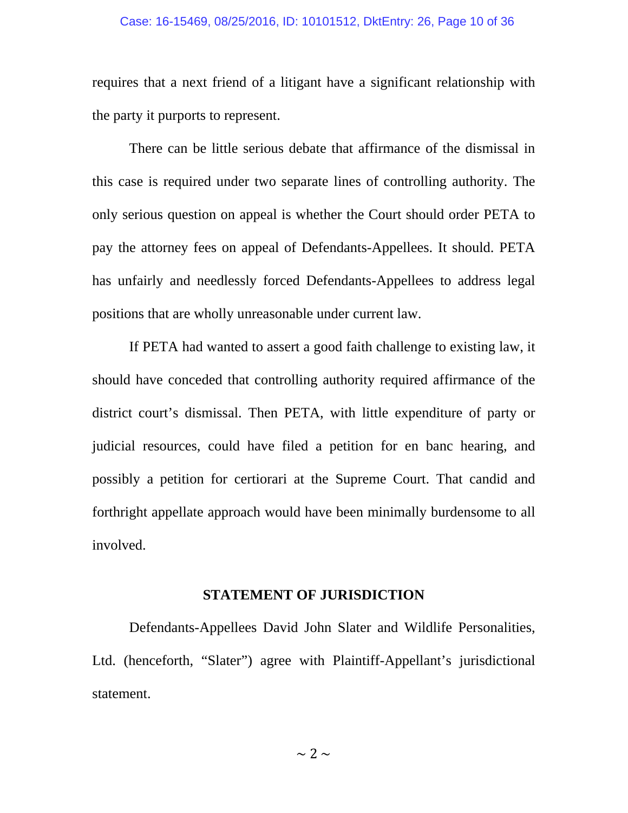#### Case: 16-15469, 08/25/2016, ID: 10101512, DktEntry: 26, Page 10 of 36

requires that a next friend of a litigant have a significant relationship with the party it purports to represent.

 There can be little serious debate that affirmance of the dismissal in this case is required under two separate lines of controlling authority. The only serious question on appeal is whether the Court should order PETA to pay the attorney fees on appeal of Defendants-Appellees. It should. PETA has unfairly and needlessly forced Defendants-Appellees to address legal positions that are wholly unreasonable under current law.

If PETA had wanted to assert a good faith challenge to existing law, it should have conceded that controlling authority required affirmance of the district court's dismissal. Then PETA, with little expenditure of party or judicial resources, could have filed a petition for en banc hearing, and possibly a petition for certiorari at the Supreme Court. That candid and forthright appellate approach would have been minimally burdensome to all involved.

#### **STATEMENT OF JURISDICTION**

 Defendants-Appellees David John Slater and Wildlife Personalities, Ltd. (henceforth, "Slater") agree with Plaintiff-Appellant's jurisdictional statement.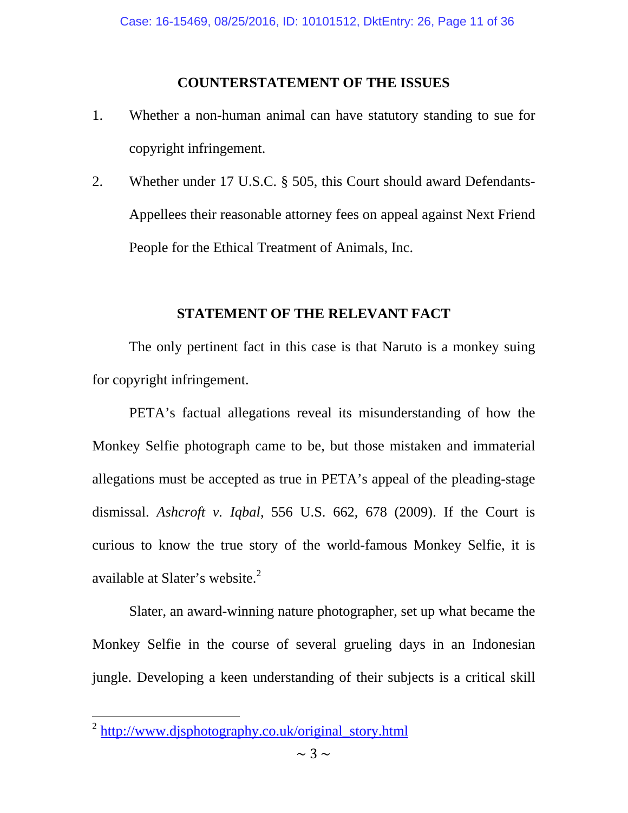### **COUNTERSTATEMENT OF THE ISSUES**

- 1. Whether a non-human animal can have statutory standing to sue for copyright infringement.
- 2. Whether under 17 U.S.C. § 505, this Court should award Defendants-Appellees their reasonable attorney fees on appeal against Next Friend People for the Ethical Treatment of Animals, Inc.

## **STATEMENT OF THE RELEVANT FACT**

 The only pertinent fact in this case is that Naruto is a monkey suing for copyright infringement.

PETA's factual allegations reveal its misunderstanding of how the Monkey Selfie photograph came to be, but those mistaken and immaterial allegations must be accepted as true in PETA's appeal of the pleading-stage dismissal. *Ashcroft v. Iqbal*, 556 U.S. 662, 678 (2009). If the Court is curious to know the true story of the world-famous Monkey Selfie, it is available at Slater's website.<sup>2</sup>

Slater, an award-winning nature photographer, set up what became the Monkey Selfie in the course of several grueling days in an Indonesian jungle. Developing a keen understanding of their subjects is a critical skill

<sup>&</sup>lt;sup>2</sup> http://www.djsphotography.co.uk/original\_story.html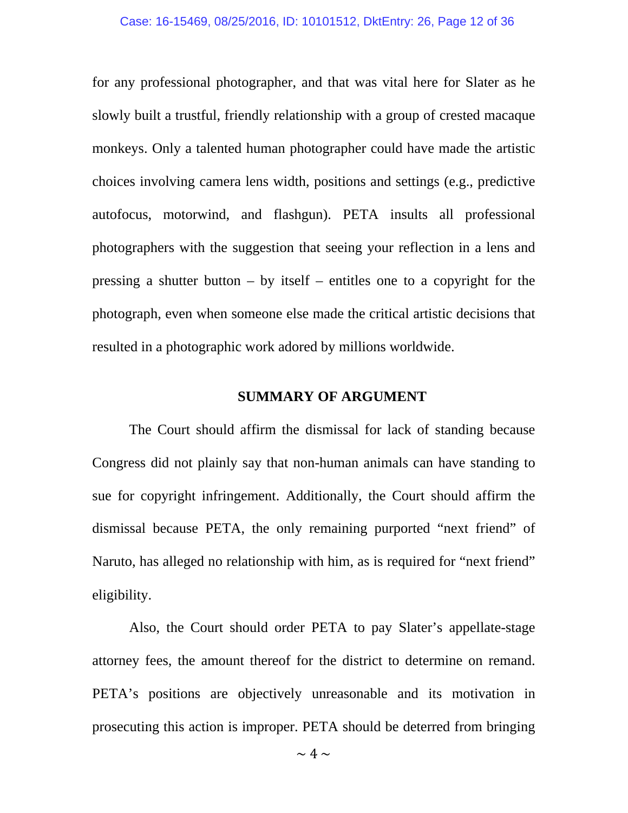for any professional photographer, and that was vital here for Slater as he slowly built a trustful, friendly relationship with a group of crested macaque monkeys. Only a talented human photographer could have made the artistic choices involving camera lens width, positions and settings (e.g., predictive autofocus, motorwind, and flashgun). PETA insults all professional photographers with the suggestion that seeing your reflection in a lens and pressing a shutter button  $-$  by itself  $-$  entitles one to a copyright for the photograph, even when someone else made the critical artistic decisions that resulted in a photographic work adored by millions worldwide.

### **SUMMARY OF ARGUMENT**

The Court should affirm the dismissal for lack of standing because Congress did not plainly say that non-human animals can have standing to sue for copyright infringement. Additionally, the Court should affirm the dismissal because PETA, the only remaining purported "next friend" of Naruto, has alleged no relationship with him, as is required for "next friend" eligibility.

Also, the Court should order PETA to pay Slater's appellate-stage attorney fees, the amount thereof for the district to determine on remand. PETA's positions are objectively unreasonable and its motivation in prosecuting this action is improper. PETA should be deterred from bringing

 $\sim 4 \sim$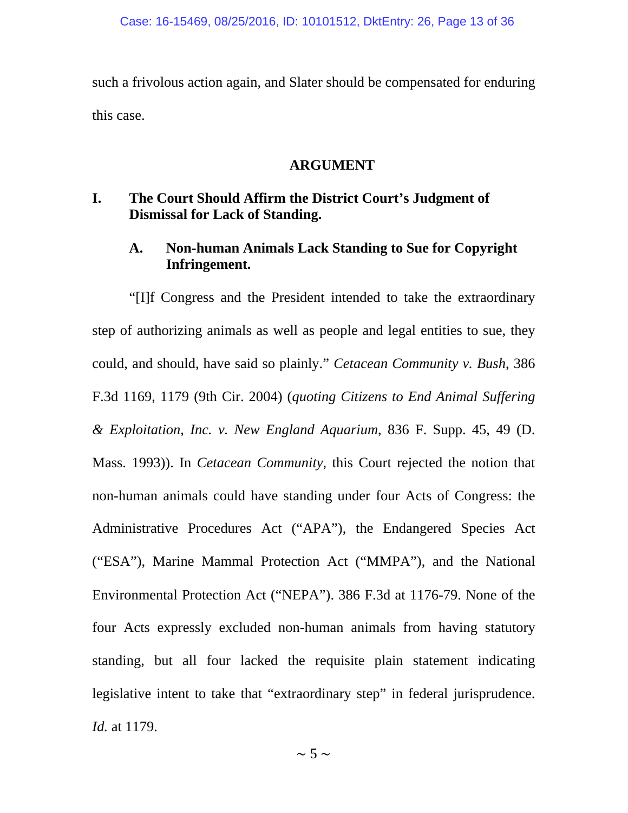such a frivolous action again, and Slater should be compensated for enduring this case.

#### **ARGUMENT**

## **I. The Court Should Affirm the District Court's Judgment of Dismissal for Lack of Standing.**

## **A. Non-human Animals Lack Standing to Sue for Copyright Infringement.**

"[I]f Congress and the President intended to take the extraordinary step of authorizing animals as well as people and legal entities to sue, they could, and should, have said so plainly." *Cetacean Community v. Bush*, 386 F.3d 1169, 1179 (9th Cir. 2004) (*quoting Citizens to End Animal Suffering & Exploitation, Inc. v. New England Aquarium*, 836 F. Supp. 45, 49 (D. Mass. 1993)). In *Cetacean Community*, this Court rejected the notion that non-human animals could have standing under four Acts of Congress: the Administrative Procedures Act ("APA"), the Endangered Species Act ("ESA"), Marine Mammal Protection Act ("MMPA"), and the National Environmental Protection Act ("NEPA"). 386 F.3d at 1176-79. None of the four Acts expressly excluded non-human animals from having statutory standing, but all four lacked the requisite plain statement indicating legislative intent to take that "extraordinary step" in federal jurisprudence. *Id.* at 1179.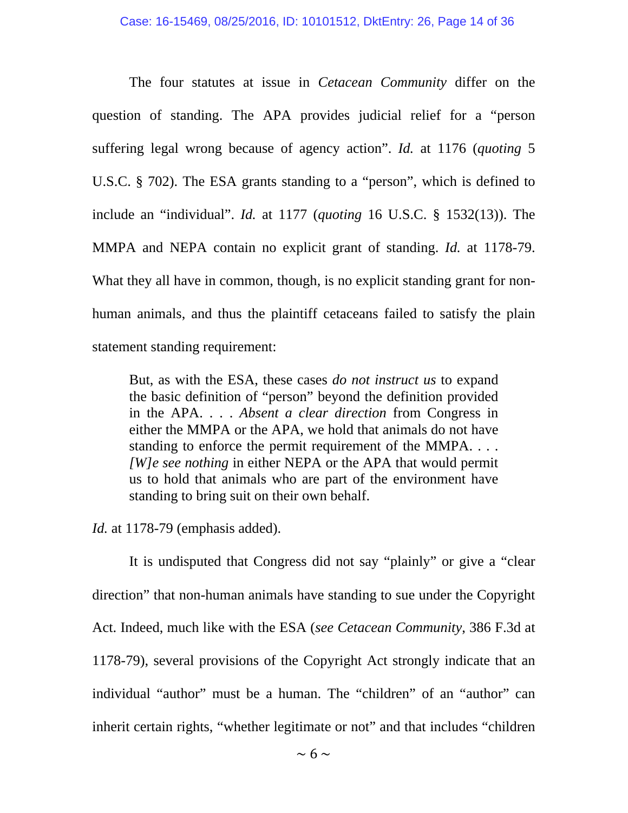The four statutes at issue in *Cetacean Community* differ on the question of standing. The APA provides judicial relief for a "person suffering legal wrong because of agency action". *Id.* at 1176 (*quoting* 5 U.S.C. § 702). The ESA grants standing to a "person", which is defined to include an "individual". *Id.* at 1177 (*quoting* 16 U.S.C. § 1532(13)). The MMPA and NEPA contain no explicit grant of standing. *Id.* at 1178-79. What they all have in common, though, is no explicit standing grant for nonhuman animals, and thus the plaintiff cetaceans failed to satisfy the plain statement standing requirement:

But, as with the ESA, these cases *do not instruct us* to expand the basic definition of "person" beyond the definition provided in the APA. . . . *Absent a clear direction* from Congress in either the MMPA or the APA, we hold that animals do not have standing to enforce the permit requirement of the MMPA. . . . *[W]e see nothing* in either NEPA or the APA that would permit us to hold that animals who are part of the environment have standing to bring suit on their own behalf.

*Id.* at 1178-79 (emphasis added).

 It is undisputed that Congress did not say "plainly" or give a "clear direction" that non-human animals have standing to sue under the Copyright Act. Indeed, much like with the ESA (*see Cetacean Community*, 386 F.3d at 1178-79), several provisions of the Copyright Act strongly indicate that an individual "author" must be a human. The "children" of an "author" can inherit certain rights, "whether legitimate or not" and that includes "children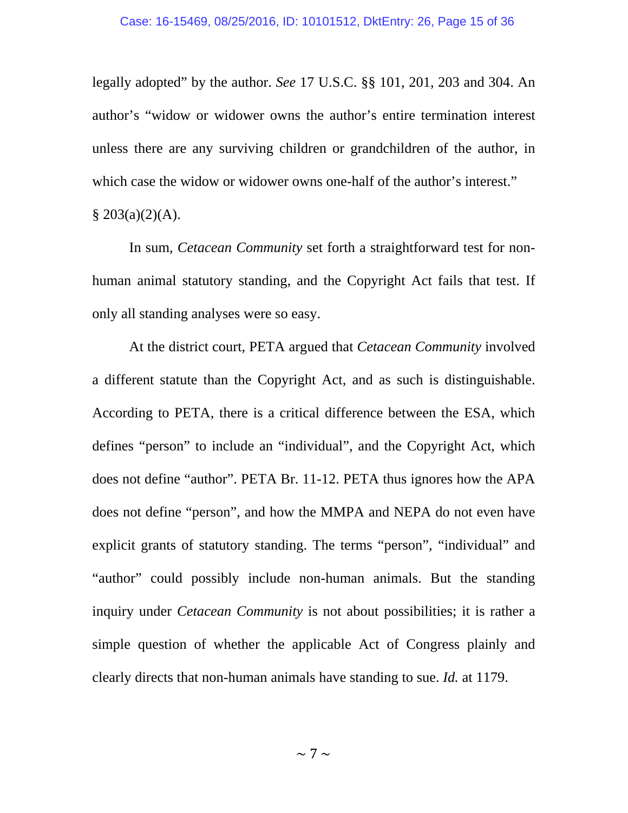legally adopted" by the author. *See* 17 U.S.C. §§ 101, 201, 203 and 304. An author's "widow or widower owns the author's entire termination interest unless there are any surviving children or grandchildren of the author, in which case the widow or widower owns one-half of the author's interest."  $$203(a)(2)(A).$ 

 In sum, *Cetacean Community* set forth a straightforward test for nonhuman animal statutory standing, and the Copyright Act fails that test. If only all standing analyses were so easy.

 At the district court, PETA argued that *Cetacean Community* involved a different statute than the Copyright Act, and as such is distinguishable. According to PETA, there is a critical difference between the ESA, which defines "person" to include an "individual", and the Copyright Act, which does not define "author". PETA Br. 11-12. PETA thus ignores how the APA does not define "person", and how the MMPA and NEPA do not even have explicit grants of statutory standing. The terms "person", "individual" and "author" could possibly include non-human animals. But the standing inquiry under *Cetacean Community* is not about possibilities; it is rather a simple question of whether the applicable Act of Congress plainly and clearly directs that non-human animals have standing to sue. *Id.* at 1179.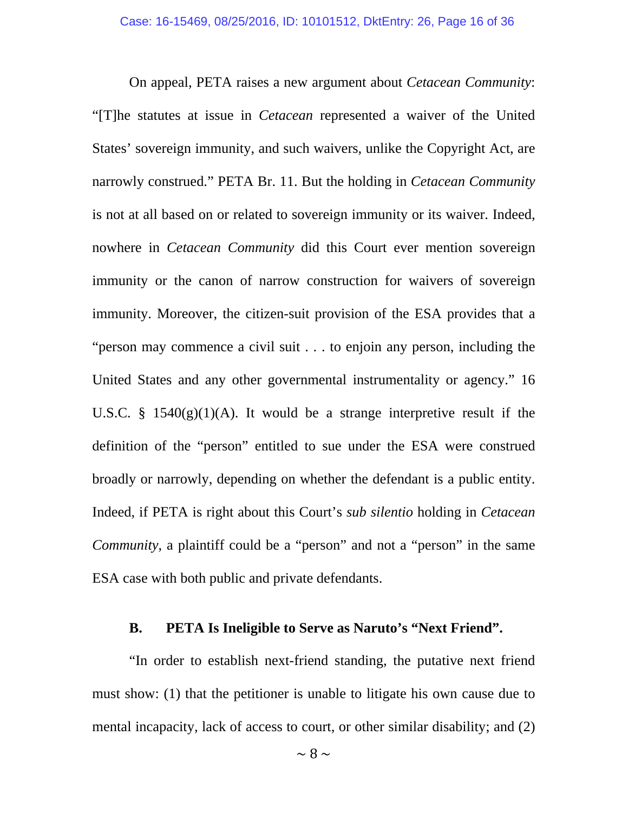On appeal, PETA raises a new argument about *Cetacean Community*: "[T]he statutes at issue in *Cetacean* represented a waiver of the United States' sovereign immunity, and such waivers, unlike the Copyright Act, are narrowly construed." PETA Br. 11. But the holding in *Cetacean Community* is not at all based on or related to sovereign immunity or its waiver. Indeed, nowhere in *Cetacean Community* did this Court ever mention sovereign immunity or the canon of narrow construction for waivers of sovereign immunity. Moreover, the citizen-suit provision of the ESA provides that a "person may commence a civil suit . . . to enjoin any person, including the United States and any other governmental instrumentality or agency." 16 U.S.C. § 1540 $(g)(1)(A)$ . It would be a strange interpretive result if the definition of the "person" entitled to sue under the ESA were construed broadly or narrowly, depending on whether the defendant is a public entity. Indeed, if PETA is right about this Court's *sub silentio* holding in *Cetacean Community*, a plaintiff could be a "person" and not a "person" in the same ESA case with both public and private defendants.

#### **B. PETA Is Ineligible to Serve as Naruto's "Next Friend".**

"In order to establish next-friend standing, the putative next friend must show: (1) that the petitioner is unable to litigate his own cause due to mental incapacity, lack of access to court, or other similar disability; and (2)

 $\sim$  8  $\sim$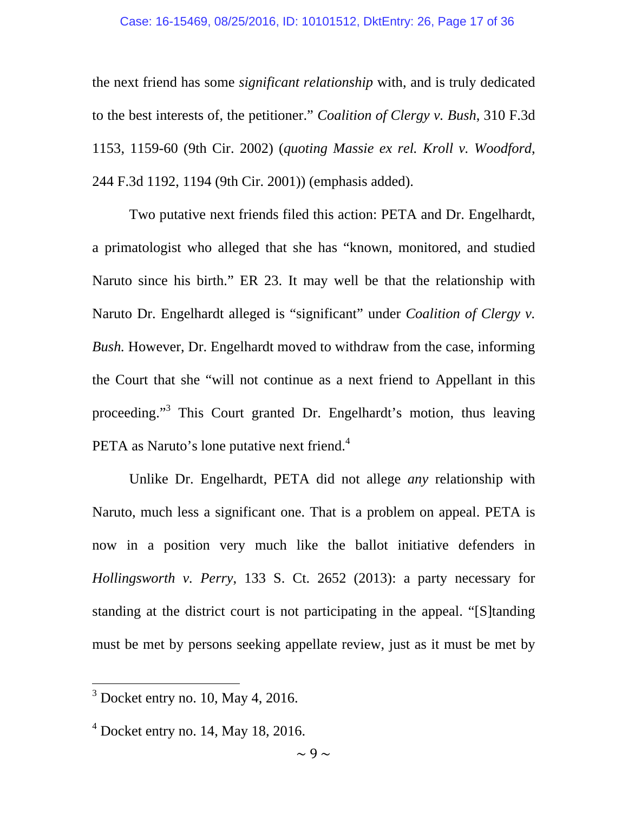#### Case: 16-15469, 08/25/2016, ID: 10101512, DktEntry: 26, Page 17 of 36

the next friend has some *significant relationship* with, and is truly dedicated to the best interests of, the petitioner." *Coalition of Clergy v. Bush*, 310 F.3d 1153, 1159-60 (9th Cir. 2002) (*quoting Massie ex rel. Kroll v. Woodford*, 244 F.3d 1192, 1194 (9th Cir. 2001)) (emphasis added).

Two putative next friends filed this action: PETA and Dr. Engelhardt, a primatologist who alleged that she has "known, monitored, and studied Naruto since his birth." ER 23. It may well be that the relationship with Naruto Dr. Engelhardt alleged is "significant" under *Coalition of Clergy v. Bush.* However, Dr. Engelhardt moved to withdraw from the case, informing the Court that she "will not continue as a next friend to Appellant in this proceeding."<sup>3</sup> This Court granted Dr. Engelhardt's motion, thus leaving PETA as Naruto's lone putative next friend.<sup>4</sup>

Unlike Dr. Engelhardt, PETA did not allege *any* relationship with Naruto, much less a significant one. That is a problem on appeal. PETA is now in a position very much like the ballot initiative defenders in *Hollingsworth v. Perry*, 133 S. Ct. 2652 (2013): a party necessary for standing at the district court is not participating in the appeal. "[S]tanding must be met by persons seeking appellate review, just as it must be met by

 $3$  Docket entry no. 10, May 4, 2016.

 $<sup>4</sup>$  Docket entry no. 14, May 18, 2016.</sup>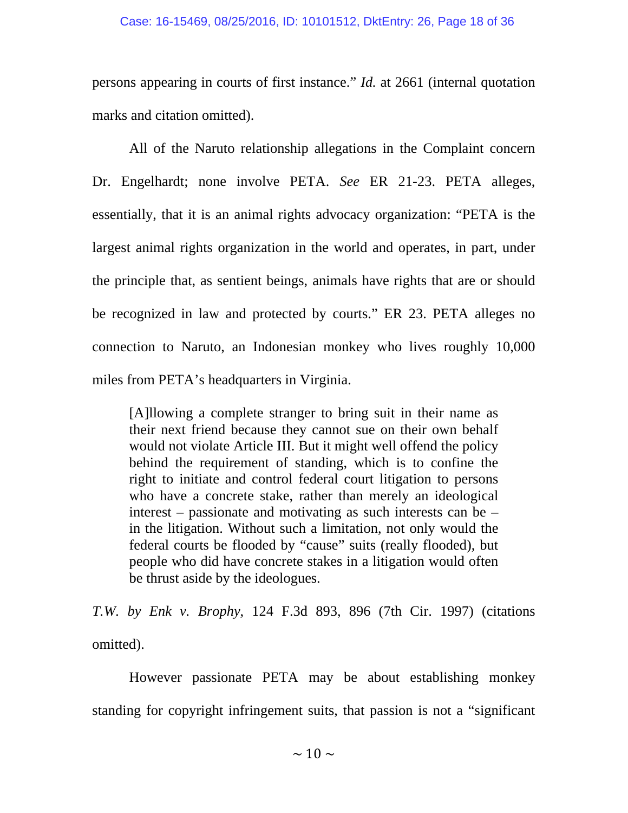persons appearing in courts of first instance." *Id.* at 2661 (internal quotation marks and citation omitted).

All of the Naruto relationship allegations in the Complaint concern Dr. Engelhardt; none involve PETA. *See* ER 21-23. PETA alleges, essentially, that it is an animal rights advocacy organization: "PETA is the largest animal rights organization in the world and operates, in part, under the principle that, as sentient beings, animals have rights that are or should be recognized in law and protected by courts." ER 23. PETA alleges no connection to Naruto, an Indonesian monkey who lives roughly 10,000 miles from PETA's headquarters in Virginia.

[A]llowing a complete stranger to bring suit in their name as their next friend because they cannot sue on their own behalf would not violate Article III. But it might well offend the policy behind the requirement of standing, which is to confine the right to initiate and control federal court litigation to persons who have a concrete stake, rather than merely an ideological interest – passionate and motivating as such interests can be – in the litigation. Without such a limitation, not only would the federal courts be flooded by "cause" suits (really flooded), but people who did have concrete stakes in a litigation would often be thrust aside by the ideologues.

*T.W. by Enk v. Brophy*, 124 F.3d 893, 896 (7th Cir. 1997) (citations omitted).

However passionate PETA may be about establishing monkey standing for copyright infringement suits, that passion is not a "significant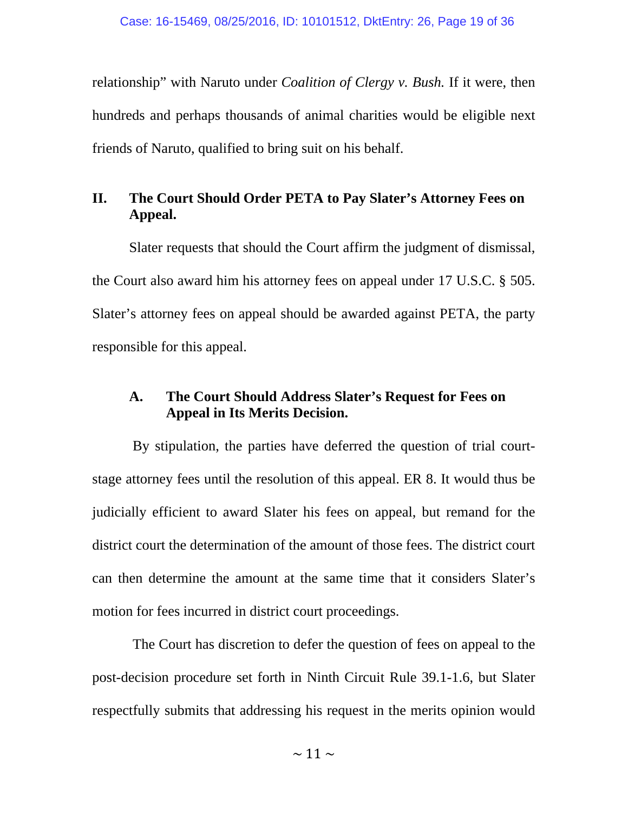relationship" with Naruto under *Coalition of Clergy v. Bush.* If it were, then hundreds and perhaps thousands of animal charities would be eligible next friends of Naruto, qualified to bring suit on his behalf.

## **II. The Court Should Order PETA to Pay Slater's Attorney Fees on Appeal.**

Slater requests that should the Court affirm the judgment of dismissal, the Court also award him his attorney fees on appeal under 17 U.S.C. § 505. Slater's attorney fees on appeal should be awarded against PETA, the party responsible for this appeal.

## **A. The Court Should Address Slater's Request for Fees on Appeal in Its Merits Decision.**

 By stipulation, the parties have deferred the question of trial courtstage attorney fees until the resolution of this appeal. ER 8. It would thus be judicially efficient to award Slater his fees on appeal, but remand for the district court the determination of the amount of those fees. The district court can then determine the amount at the same time that it considers Slater's motion for fees incurred in district court proceedings.

 The Court has discretion to defer the question of fees on appeal to the post-decision procedure set forth in Ninth Circuit Rule 39.1-1.6, but Slater respectfully submits that addressing his request in the merits opinion would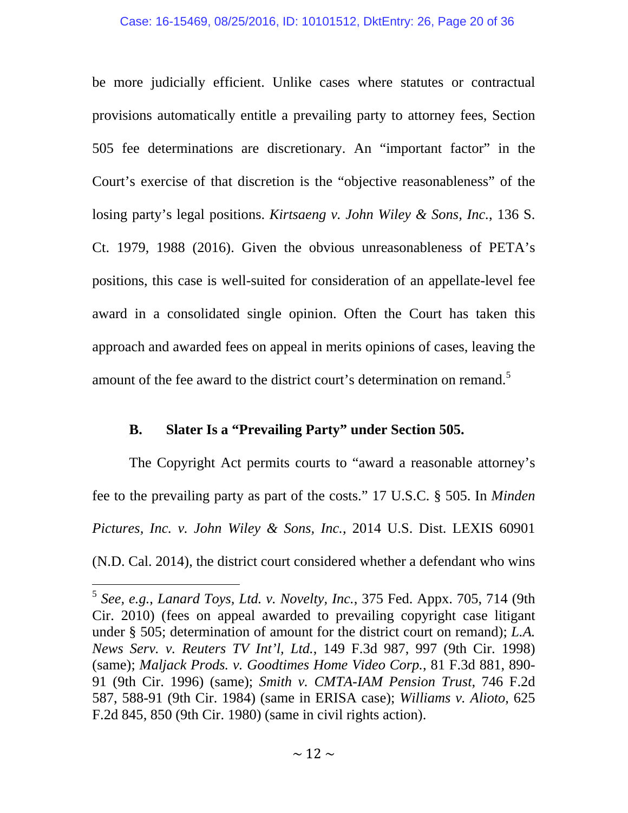be more judicially efficient. Unlike cases where statutes or contractual provisions automatically entitle a prevailing party to attorney fees, Section 505 fee determinations are discretionary. An "important factor" in the Court's exercise of that discretion is the "objective reasonableness" of the losing party's legal positions. *Kirtsaeng v. John Wiley & Sons, Inc.*, 136 S. Ct. 1979, 1988 (2016). Given the obvious unreasonableness of PETA's positions, this case is well-suited for consideration of an appellate-level fee award in a consolidated single opinion. Often the Court has taken this approach and awarded fees on appeal in merits opinions of cases, leaving the amount of the fee award to the district court's determination on remand.<sup>5</sup>

### **B. Slater Is a "Prevailing Party" under Section 505.**

 $\overline{a}$ 

The Copyright Act permits courts to "award a reasonable attorney's fee to the prevailing party as part of the costs." 17 U.S.C. § 505. In *Minden Pictures, Inc. v. John Wiley & Sons, Inc.*, 2014 U.S. Dist. LEXIS 60901 (N.D. Cal. 2014), the district court considered whether a defendant who wins

<sup>5</sup> *See, e.g.*, *Lanard Toys, Ltd. v. Novelty, Inc.*, 375 Fed. Appx. 705, 714 (9th Cir. 2010) (fees on appeal awarded to prevailing copyright case litigant under § 505; determination of amount for the district court on remand); *L.A. News Serv. v. Reuters TV Int'l, Ltd.*, 149 F.3d 987, 997 (9th Cir. 1998) (same); *Maljack Prods. v. Goodtimes Home Video Corp.*, 81 F.3d 881, 890- 91 (9th Cir. 1996) (same); *Smith v. CMTA-IAM Pension Trust*, 746 F.2d 587, 588-91 (9th Cir. 1984) (same in ERISA case); *Williams v. Alioto*, 625 F.2d 845, 850 (9th Cir. 1980) (same in civil rights action).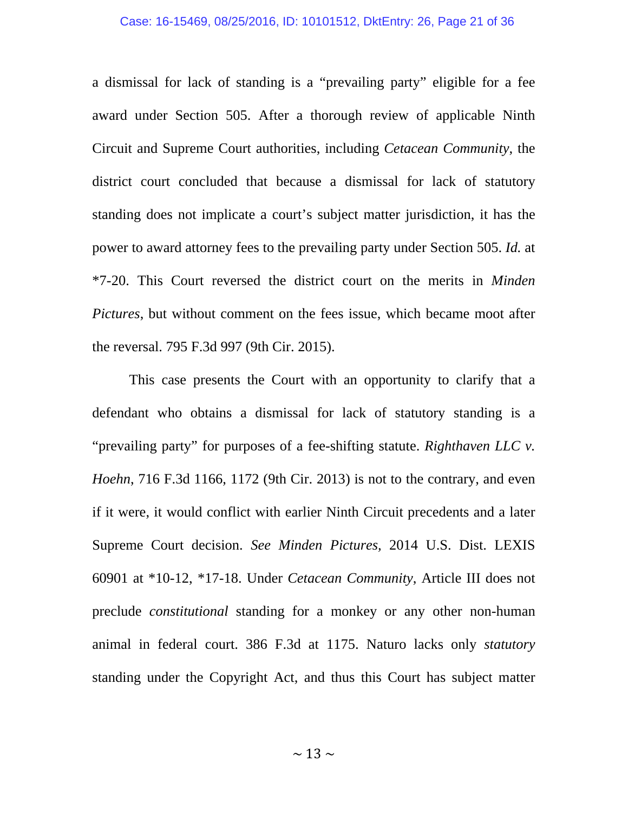a dismissal for lack of standing is a "prevailing party" eligible for a fee award under Section 505. After a thorough review of applicable Ninth Circuit and Supreme Court authorities, including *Cetacean Community*, the district court concluded that because a dismissal for lack of statutory standing does not implicate a court's subject matter jurisdiction, it has the power to award attorney fees to the prevailing party under Section 505. *Id.* at \*7-20. This Court reversed the district court on the merits in *Minden Pictures*, but without comment on the fees issue, which became moot after the reversal. 795 F.3d 997 (9th Cir. 2015).

This case presents the Court with an opportunity to clarify that a defendant who obtains a dismissal for lack of statutory standing is a "prevailing party" for purposes of a fee-shifting statute. *Righthaven LLC v. Hoehn*, 716 F.3d 1166, 1172 (9th Cir. 2013) is not to the contrary, and even if it were, it would conflict with earlier Ninth Circuit precedents and a later Supreme Court decision. *See Minden Pictures,* 2014 U.S. Dist. LEXIS 60901 at \*10-12, \*17-18. Under *Cetacean Community*, Article III does not preclude *constitutional* standing for a monkey or any other non-human animal in federal court. 386 F.3d at 1175. Naturo lacks only *statutory* standing under the Copyright Act, and thus this Court has subject matter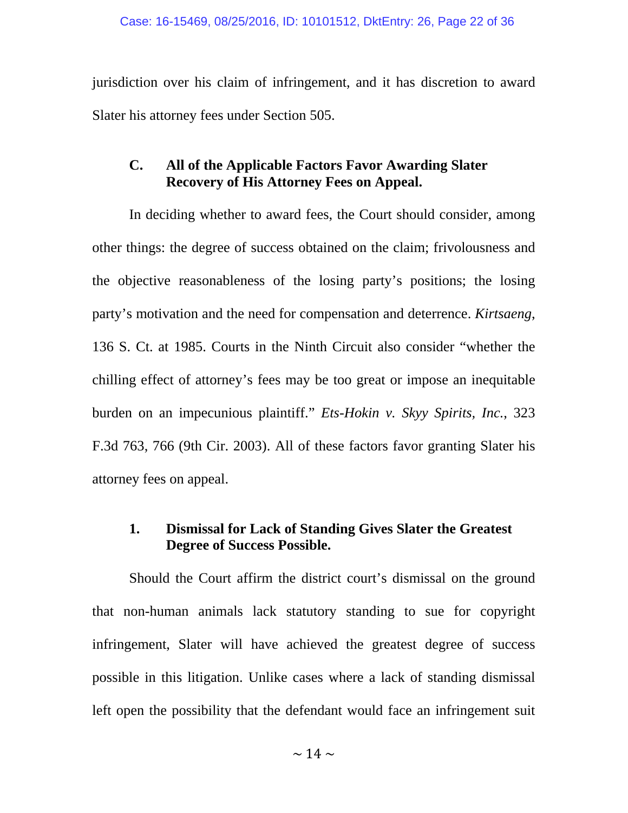jurisdiction over his claim of infringement, and it has discretion to award Slater his attorney fees under Section 505.

## **C. All of the Applicable Factors Favor Awarding Slater Recovery of His Attorney Fees on Appeal.**

In deciding whether to award fees, the Court should consider, among other things: the degree of success obtained on the claim; frivolousness and the objective reasonableness of the losing party's positions; the losing party's motivation and the need for compensation and deterrence. *Kirtsaeng*, 136 S. Ct. at 1985. Courts in the Ninth Circuit also consider "whether the chilling effect of attorney's fees may be too great or impose an inequitable burden on an impecunious plaintiff." *Ets-Hokin v. Skyy Spirits, Inc.*, 323 F.3d 763, 766 (9th Cir. 2003). All of these factors favor granting Slater his attorney fees on appeal.

## **1. Dismissal for Lack of Standing Gives Slater the Greatest Degree of Success Possible.**

Should the Court affirm the district court's dismissal on the ground that non-human animals lack statutory standing to sue for copyright infringement, Slater will have achieved the greatest degree of success possible in this litigation. Unlike cases where a lack of standing dismissal left open the possibility that the defendant would face an infringement suit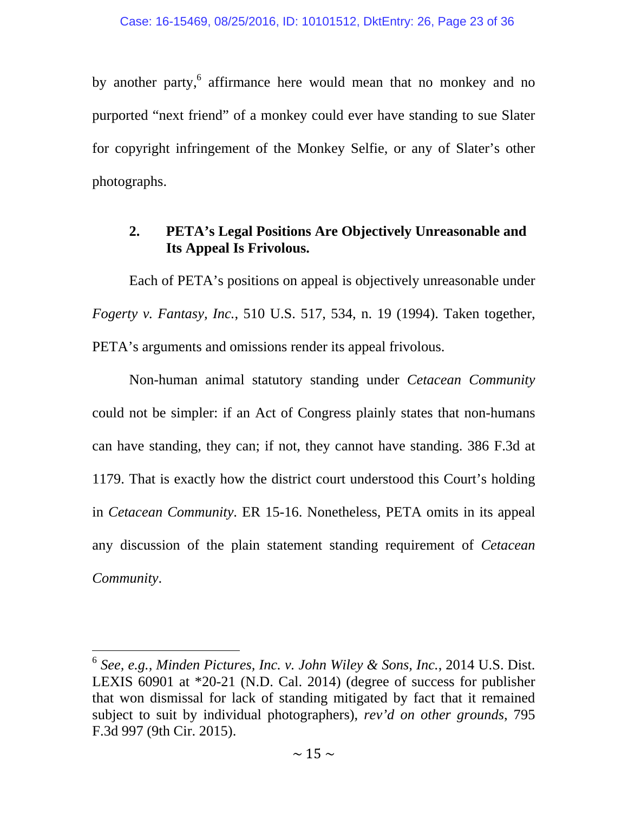by another party, affirmance here would mean that no monkey and no purported "next friend" of a monkey could ever have standing to sue Slater for copyright infringement of the Monkey Selfie, or any of Slater's other photographs.

## **2. PETA's Legal Positions Are Objectively Unreasonable and Its Appeal Is Frivolous.**

Each of PETA's positions on appeal is objectively unreasonable under *Fogerty v. Fantasy, Inc.*, 510 U.S. 517, 534, n. 19 (1994). Taken together, PETA's arguments and omissions render its appeal frivolous.

Non-human animal statutory standing under *Cetacean Community* could not be simpler: if an Act of Congress plainly states that non-humans can have standing, they can; if not, they cannot have standing. 386 F.3d at 1179. That is exactly how the district court understood this Court's holding in *Cetacean Community*. ER 15-16. Nonetheless, PETA omits in its appeal any discussion of the plain statement standing requirement of *Cetacean Community*.

<sup>6</sup> *See, e.g., Minden Pictures, Inc. v. John Wiley & Sons, Inc.*, 2014 U.S. Dist. LEXIS 60901 at \*20-21 (N.D. Cal. 2014) (degree of success for publisher that won dismissal for lack of standing mitigated by fact that it remained subject to suit by individual photographers), *rev'd on other grounds*, 795 F.3d 997 (9th Cir. 2015).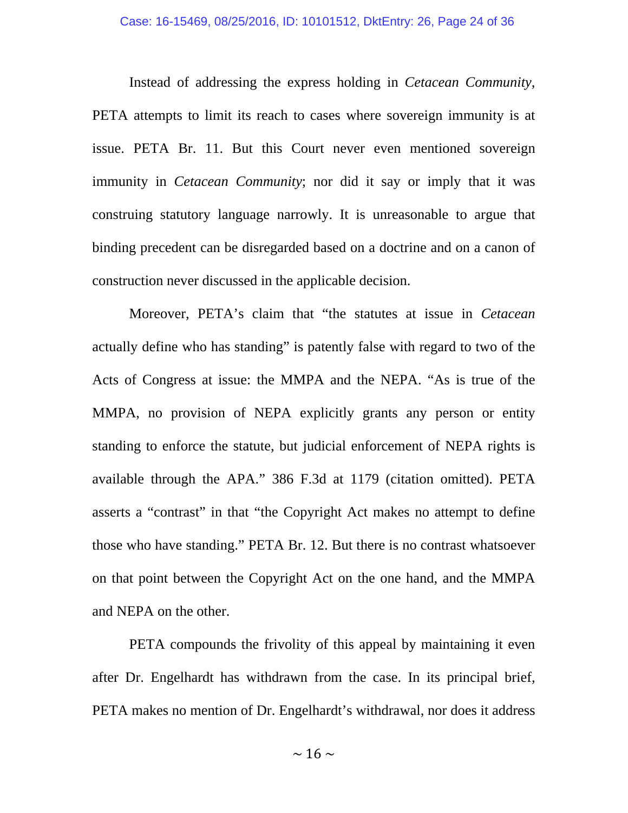Instead of addressing the express holding in *Cetacean Community*, PETA attempts to limit its reach to cases where sovereign immunity is at issue. PETA Br. 11. But this Court never even mentioned sovereign immunity in *Cetacean Community*; nor did it say or imply that it was construing statutory language narrowly. It is unreasonable to argue that binding precedent can be disregarded based on a doctrine and on a canon of construction never discussed in the applicable decision.

Moreover, PETA's claim that "the statutes at issue in *Cetacean* actually define who has standing" is patently false with regard to two of the Acts of Congress at issue: the MMPA and the NEPA. "As is true of the MMPA, no provision of NEPA explicitly grants any person or entity standing to enforce the statute, but judicial enforcement of NEPA rights is available through the APA." 386 F.3d at 1179 (citation omitted). PETA asserts a "contrast" in that "the Copyright Act makes no attempt to define those who have standing." PETA Br. 12. But there is no contrast whatsoever on that point between the Copyright Act on the one hand, and the MMPA and NEPA on the other.

PETA compounds the frivolity of this appeal by maintaining it even after Dr. Engelhardt has withdrawn from the case. In its principal brief, PETA makes no mention of Dr. Engelhardt's withdrawal, nor does it address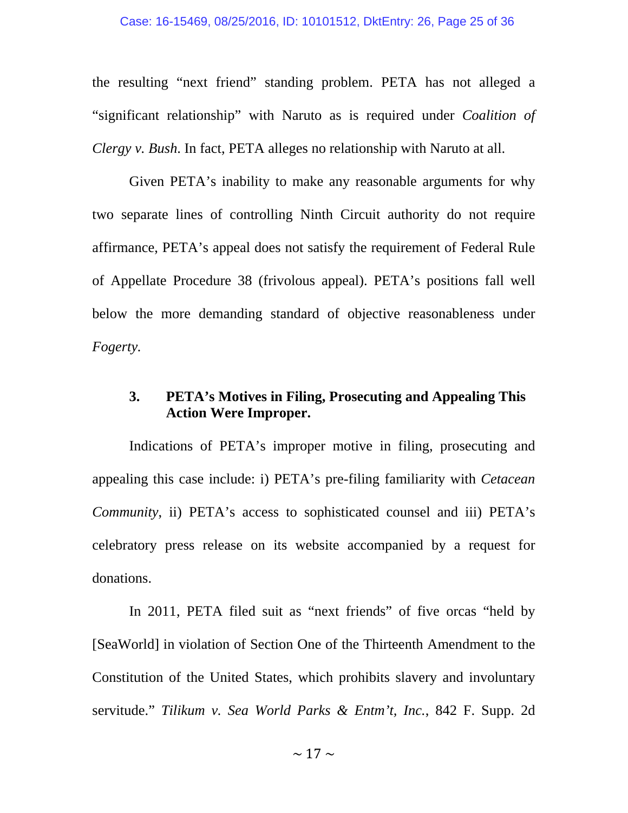the resulting "next friend" standing problem. PETA has not alleged a "significant relationship" with Naruto as is required under *Coalition of Clergy v. Bush*. In fact, PETA alleges no relationship with Naruto at all.

Given PETA's inability to make any reasonable arguments for why two separate lines of controlling Ninth Circuit authority do not require affirmance, PETA's appeal does not satisfy the requirement of Federal Rule of Appellate Procedure 38 (frivolous appeal). PETA's positions fall well below the more demanding standard of objective reasonableness under *Fogerty.*

## **3. PETA's Motives in Filing, Prosecuting and Appealing This Action Were Improper.**

Indications of PETA's improper motive in filing, prosecuting and appealing this case include: i) PETA's pre-filing familiarity with *Cetacean Community*, ii) PETA's access to sophisticated counsel and iii) PETA's celebratory press release on its website accompanied by a request for donations.

In 2011, PETA filed suit as "next friends" of five orcas "held by [SeaWorld] in violation of Section One of the Thirteenth Amendment to the Constitution of the United States, which prohibits slavery and involuntary servitude." *Tilikum v. Sea World Parks & Entm't, Inc.*, 842 F. Supp. 2d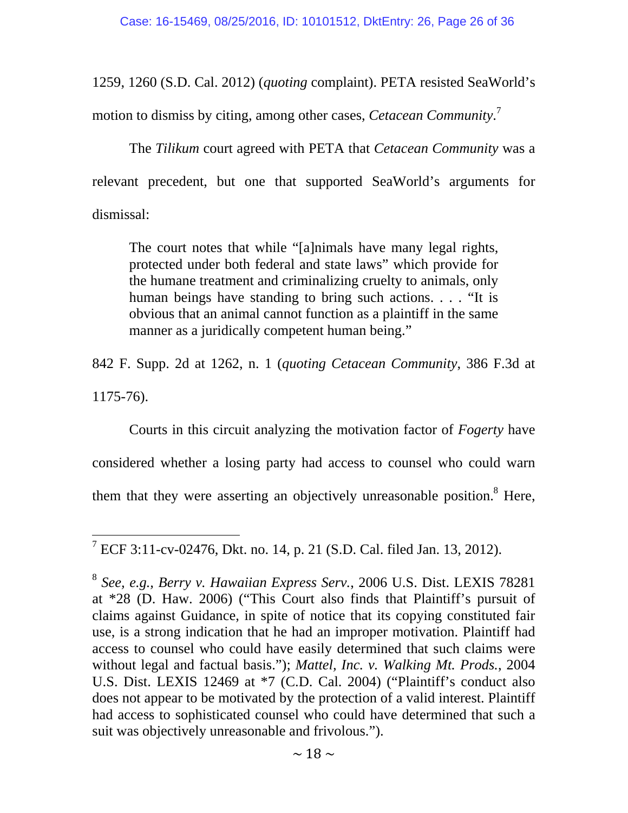1259, 1260 (S.D. Cal. 2012) (*quoting* complaint). PETA resisted SeaWorld's

motion to dismiss by citing, among other cases, *Cetacean Community*. 7

The *Tilikum* court agreed with PETA that *Cetacean Community* was a relevant precedent, but one that supported SeaWorld's arguments for dismissal:

The court notes that while "[a]nimals have many legal rights, protected under both federal and state laws" which provide for the humane treatment and criminalizing cruelty to animals, only human beings have standing to bring such actions. . . . "It is obvious that an animal cannot function as a plaintiff in the same manner as a juridically competent human being."

842 F. Supp. 2d at 1262, n. 1 (*quoting Cetacean Community*, 386 F.3d at 1175-76).

 Courts in this circuit analyzing the motivation factor of *Fogerty* have considered whether a losing party had access to counsel who could warn them that they were asserting an objectively unreasonable position.<sup>8</sup> Here,

<sup>&</sup>lt;sup>7</sup> ECF 3:11-cv-02476, Dkt. no. 14, p. 21 (S.D. Cal. filed Jan. 13, 2012).

<sup>8</sup> *See, e.g., Berry v. Hawaiian Express Serv.*, 2006 U.S. Dist. LEXIS 78281 at \*28 (D. Haw. 2006) ("This Court also finds that Plaintiff's pursuit of claims against Guidance, in spite of notice that its copying constituted fair use, is a strong indication that he had an improper motivation. Plaintiff had access to counsel who could have easily determined that such claims were without legal and factual basis."); *Mattel, Inc. v. Walking Mt. Prods.*, 2004 U.S. Dist. LEXIS 12469 at \*7 (C.D. Cal. 2004) ("Plaintiff's conduct also does not appear to be motivated by the protection of a valid interest. Plaintiff had access to sophisticated counsel who could have determined that such a suit was objectively unreasonable and frivolous.").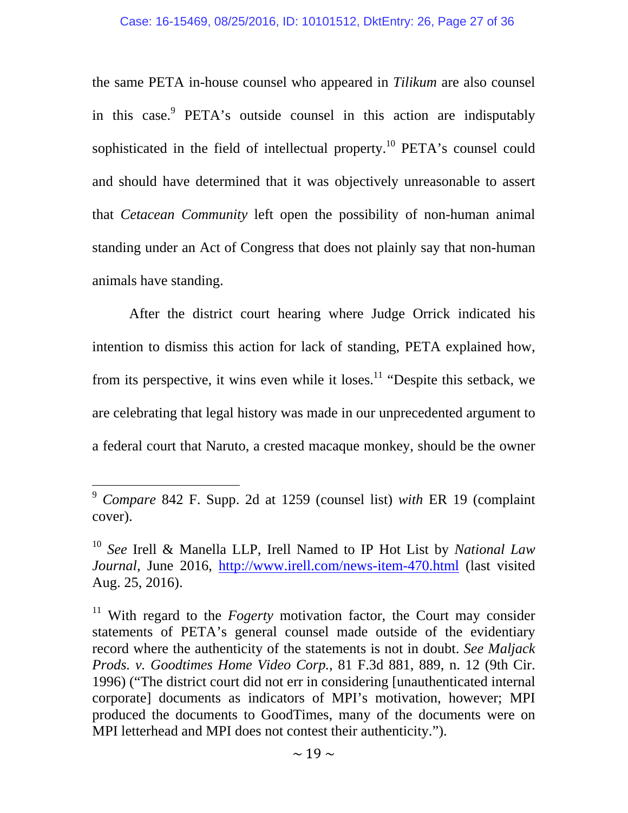the same PETA in-house counsel who appeared in *Tilikum* are also counsel in this case.<sup>9</sup> PETA's outside counsel in this action are indisputably sophisticated in the field of intellectual property.<sup>10</sup> PETA's counsel could and should have determined that it was objectively unreasonable to assert that *Cetacean Community* left open the possibility of non-human animal standing under an Act of Congress that does not plainly say that non-human animals have standing.

 After the district court hearing where Judge Orrick indicated his intention to dismiss this action for lack of standing, PETA explained how, from its perspective, it wins even while it loses.<sup>11</sup> "Despite this setback, we are celebrating that legal history was made in our unprecedented argument to a federal court that Naruto, a crested macaque monkey, should be the owner

<sup>9</sup> *Compare* 842 F. Supp. 2d at 1259 (counsel list) *with* ER 19 (complaint cover).

<sup>10</sup> *See* Irell & Manella LLP, Irell Named to IP Hot List by *National Law Journal*, June 2016, http://www.irell.com/news-item-470.html (last visited Aug. 25, 2016).

<sup>&</sup>lt;sup>11</sup> With regard to the *Fogerty* motivation factor, the Court may consider statements of PETA's general counsel made outside of the evidentiary record where the authenticity of the statements is not in doubt. *See Maljack Prods. v. Goodtimes Home Video Corp.*, 81 F.3d 881, 889, n. 12 (9th Cir. 1996) ("The district court did not err in considering [unauthenticated internal corporate] documents as indicators of MPI's motivation, however; MPI produced the documents to GoodTimes, many of the documents were on MPI letterhead and MPI does not contest their authenticity.").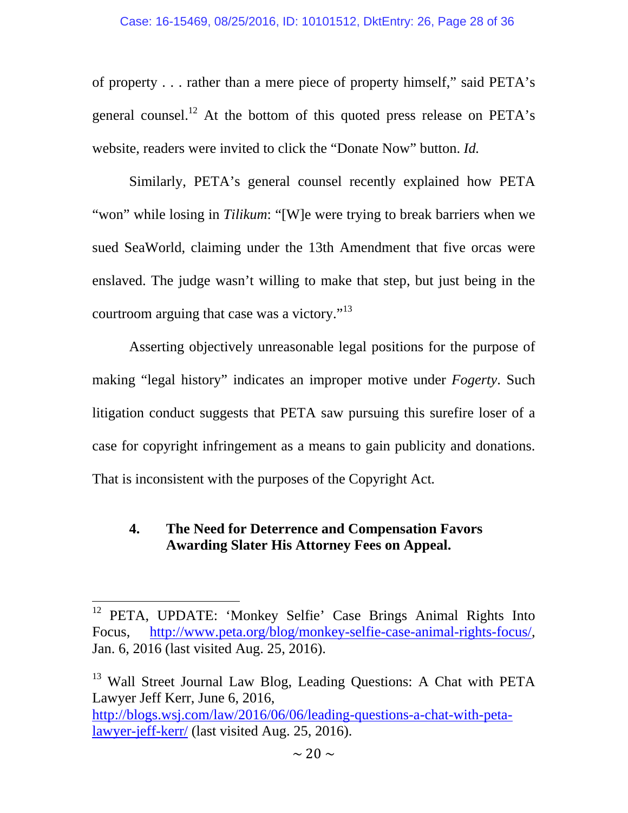of property . . . rather than a mere piece of property himself," said PETA's general counsel.<sup>12</sup> At the bottom of this quoted press release on  $PETA's$ website, readers were invited to click the "Donate Now" button. *Id.*

Similarly, PETA's general counsel recently explained how PETA "won" while losing in *Tilikum*: "[W]e were trying to break barriers when we sued SeaWorld, claiming under the 13th Amendment that five orcas were enslaved. The judge wasn't willing to make that step, but just being in the courtroom arguing that case was a victory."<sup>13</sup>

Asserting objectively unreasonable legal positions for the purpose of making "legal history" indicates an improper motive under *Fogerty*. Such litigation conduct suggests that PETA saw pursuing this surefire loser of a case for copyright infringement as a means to gain publicity and donations. That is inconsistent with the purposes of the Copyright Act*.*

## **4. The Need for Deterrence and Compensation Favors Awarding Slater His Attorney Fees on Appeal.**

<sup>&</sup>lt;sup>12</sup> PETA, UPDATE: 'Monkey Selfie' Case Brings Animal Rights Into Focus, http://www.peta.org/blog/monkey-selfie-case-animal-rights-focus/, Jan. 6, 2016 (last visited Aug. 25, 2016).

<sup>&</sup>lt;sup>13</sup> Wall Street Journal Law Blog, Leading Questions: A Chat with PETA Lawyer Jeff Kerr, June 6, 2016, http://blogs.wsj.com/law/2016/06/06/leading-questions-a-chat-with-petalawyer-jeff-kerr/ (last visited Aug. 25, 2016).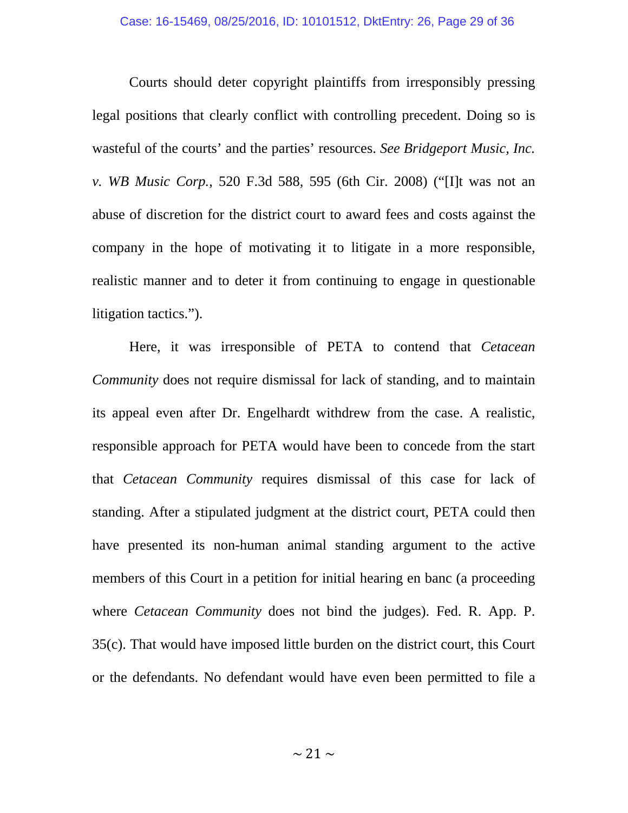Courts should deter copyright plaintiffs from irresponsibly pressing legal positions that clearly conflict with controlling precedent. Doing so is wasteful of the courts' and the parties' resources. *See Bridgeport Music, Inc. v. WB Music Corp.*, 520 F.3d 588, 595 (6th Cir. 2008) ("[I]t was not an abuse of discretion for the district court to award fees and costs against the company in the hope of motivating it to litigate in a more responsible, realistic manner and to deter it from continuing to engage in questionable litigation tactics.").

 Here, it was irresponsible of PETA to contend that *Cetacean Community* does not require dismissal for lack of standing, and to maintain its appeal even after Dr. Engelhardt withdrew from the case. A realistic, responsible approach for PETA would have been to concede from the start that *Cetacean Community* requires dismissal of this case for lack of standing. After a stipulated judgment at the district court, PETA could then have presented its non-human animal standing argument to the active members of this Court in a petition for initial hearing en banc (a proceeding where *Cetacean Community* does not bind the judges). Fed. R. App. P. 35(c). That would have imposed little burden on the district court, this Court or the defendants. No defendant would have even been permitted to file a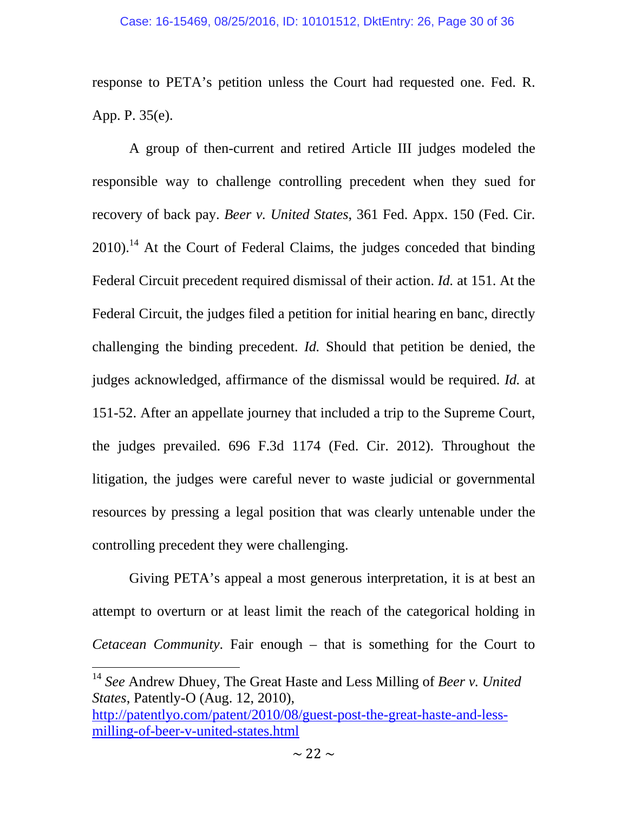response to PETA's petition unless the Court had requested one. Fed. R. App. P. 35(e).

 A group of then-current and retired Article III judges modeled the responsible way to challenge controlling precedent when they sued for recovery of back pay. *Beer v. United States*, 361 Fed. Appx. 150 (Fed. Cir.  $2010$ .<sup>14</sup> At the Court of Federal Claims, the judges conceded that binding Federal Circuit precedent required dismissal of their action. *Id.* at 151. At the Federal Circuit, the judges filed a petition for initial hearing en banc, directly challenging the binding precedent. *Id.* Should that petition be denied, the judges acknowledged, affirmance of the dismissal would be required. *Id.* at 151-52. After an appellate journey that included a trip to the Supreme Court, the judges prevailed. 696 F.3d 1174 (Fed. Cir. 2012). Throughout the litigation, the judges were careful never to waste judicial or governmental resources by pressing a legal position that was clearly untenable under the controlling precedent they were challenging.

Giving PETA's appeal a most generous interpretation, it is at best an attempt to overturn or at least limit the reach of the categorical holding in *Cetacean Community*. Fair enough – that is something for the Court to

<sup>14</sup> *See* Andrew Dhuey, The Great Haste and Less Milling of *Beer v. United States*, Patently-O (Aug. 12, 2010),

http://patentlyo.com/patent/2010/08/guest-post-the-great-haste-and-lessmilling-of-beer-v-united-states.html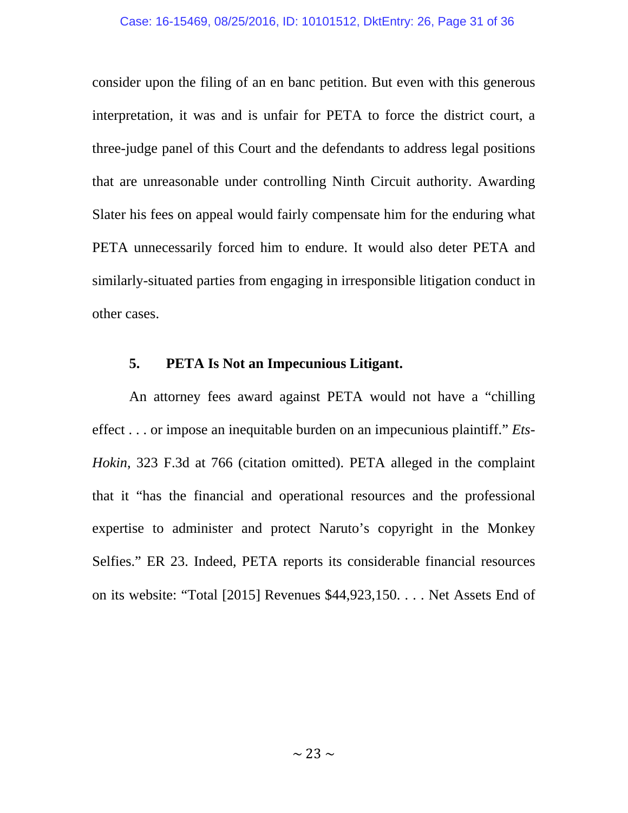consider upon the filing of an en banc petition. But even with this generous interpretation, it was and is unfair for PETA to force the district court, a three-judge panel of this Court and the defendants to address legal positions that are unreasonable under controlling Ninth Circuit authority. Awarding Slater his fees on appeal would fairly compensate him for the enduring what PETA unnecessarily forced him to endure. It would also deter PETA and similarly-situated parties from engaging in irresponsible litigation conduct in other cases.

## **5. PETA Is Not an Impecunious Litigant.**

An attorney fees award against PETA would not have a "chilling effect . . . or impose an inequitable burden on an impecunious plaintiff." *Ets-Hokin*, 323 F.3d at 766 (citation omitted). PETA alleged in the complaint that it "has the financial and operational resources and the professional expertise to administer and protect Naruto's copyright in the Monkey Selfies." ER 23. Indeed, PETA reports its considerable financial resources on its website: "Total [2015] Revenues \$44,923,150. . . . Net Assets End of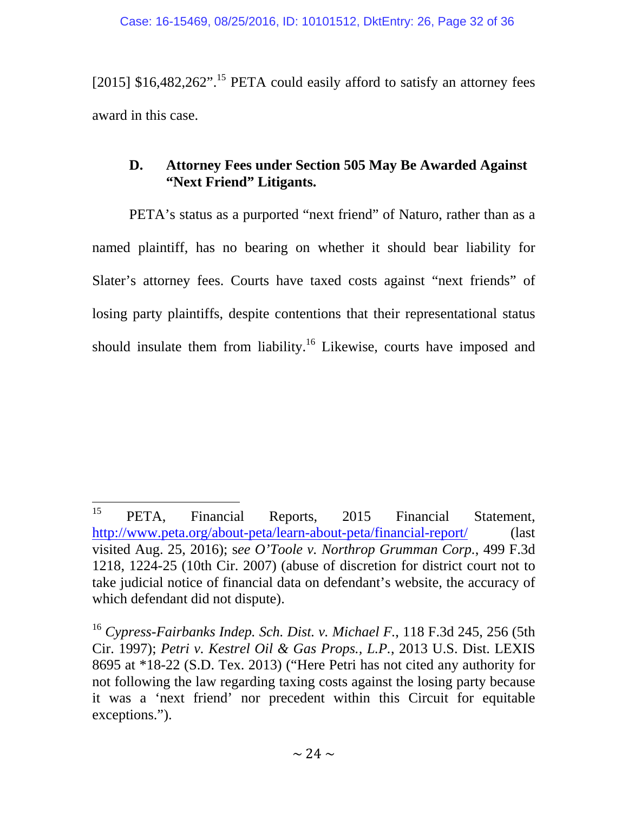[2015]  $$16,482,262$ ".<sup>15</sup> PETA could easily afford to satisfy an attorney fees award in this case.

## **D. Attorney Fees under Section 505 May Be Awarded Against "Next Friend" Litigants.**

PETA's status as a purported "next friend" of Naturo, rather than as a named plaintiff, has no bearing on whether it should bear liability for Slater's attorney fees. Courts have taxed costs against "next friends" of losing party plaintiffs, despite contentions that their representational status should insulate them from liability.<sup>16</sup> Likewise, courts have imposed and

<sup>15</sup> <sup>15</sup> PETA, Financial Reports, 2015 Financial Statement, http://www.peta.org/about-peta/learn-about-peta/financial-report/ (last visited Aug. 25, 2016); s*ee O'Toole v. Northrop Grumman Corp.*, 499 F.3d 1218, 1224-25 (10th Cir. 2007) (abuse of discretion for district court not to take judicial notice of financial data on defendant's website, the accuracy of which defendant did not dispute).

<sup>16</sup> *Cypress-Fairbanks Indep. Sch. Dist. v. Michael F.*, 118 F.3d 245, 256 (5th Cir. 1997); *Petri v. Kestrel Oil & Gas Props., L.P.*, 2013 U.S. Dist. LEXIS 8695 at \*18-22 (S.D. Tex. 2013) ("Here Petri has not cited any authority for not following the law regarding taxing costs against the losing party because it was a 'next friend' nor precedent within this Circuit for equitable exceptions.").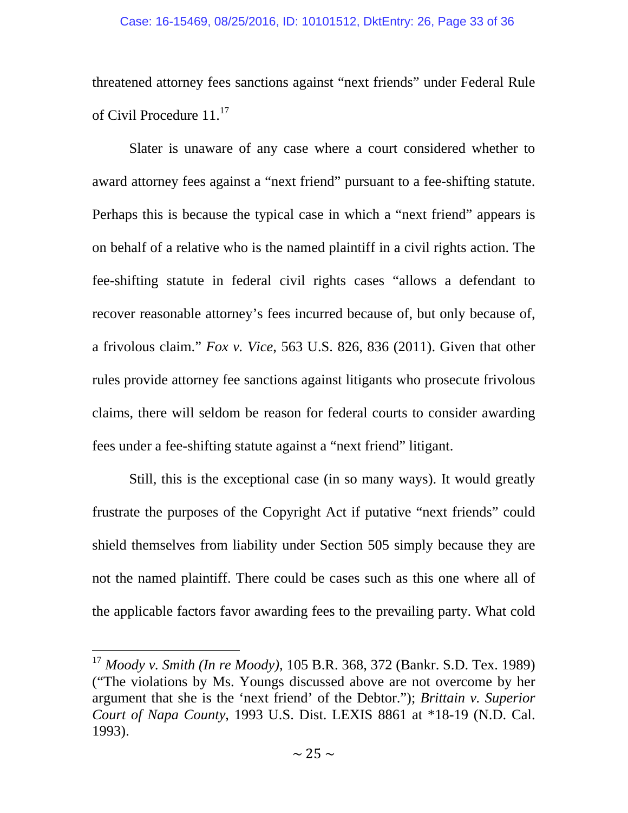#### Case: 16-15469, 08/25/2016, ID: 10101512, DktEntry: 26, Page 33 of 36

threatened attorney fees sanctions against "next friends" under Federal Rule of Civil Procedure 11.<sup>17</sup>

Slater is unaware of any case where a court considered whether to award attorney fees against a "next friend" pursuant to a fee-shifting statute. Perhaps this is because the typical case in which a "next friend" appears is on behalf of a relative who is the named plaintiff in a civil rights action. The fee-shifting statute in federal civil rights cases "allows a defendant to recover reasonable attorney's fees incurred because of, but only because of, a frivolous claim." *Fox v. Vice*, 563 U.S. 826, 836 (2011). Given that other rules provide attorney fee sanctions against litigants who prosecute frivolous claims, there will seldom be reason for federal courts to consider awarding fees under a fee-shifting statute against a "next friend" litigant.

Still, this is the exceptional case (in so many ways). It would greatly frustrate the purposes of the Copyright Act if putative "next friends" could shield themselves from liability under Section 505 simply because they are not the named plaintiff. There could be cases such as this one where all of the applicable factors favor awarding fees to the prevailing party. What cold

<sup>17</sup> *Moody v. Smith (In re Moody)*, 105 B.R. 368, 372 (Bankr. S.D. Tex. 1989) ("The violations by Ms. Youngs discussed above are not overcome by her argument that she is the 'next friend' of the Debtor."); *Brittain v. Superior Court of Napa County*, 1993 U.S. Dist. LEXIS 8861 at \*18-19 (N.D. Cal. 1993).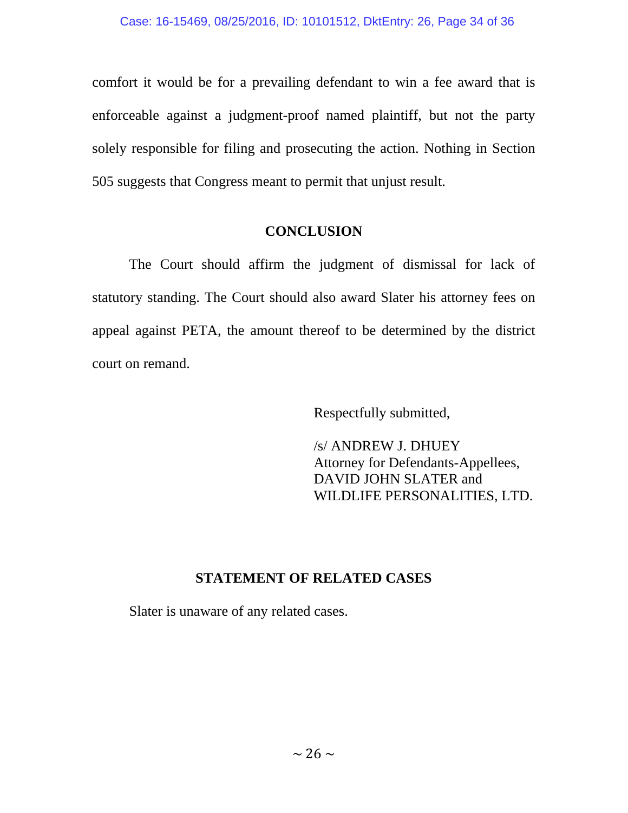comfort it would be for a prevailing defendant to win a fee award that is enforceable against a judgment-proof named plaintiff, but not the party solely responsible for filing and prosecuting the action. Nothing in Section 505 suggests that Congress meant to permit that unjust result.

## **CONCLUSION**

The Court should affirm the judgment of dismissal for lack of statutory standing. The Court should also award Slater his attorney fees on appeal against PETA, the amount thereof to be determined by the district court on remand.

Respectfully submitted,

/s/ ANDREW J. DHUEY Attorney for Defendants-Appellees, DAVID JOHN SLATER and WILDLIFE PERSONALITIES, LTD.

## **STATEMENT OF RELATED CASES**

Slater is unaware of any related cases.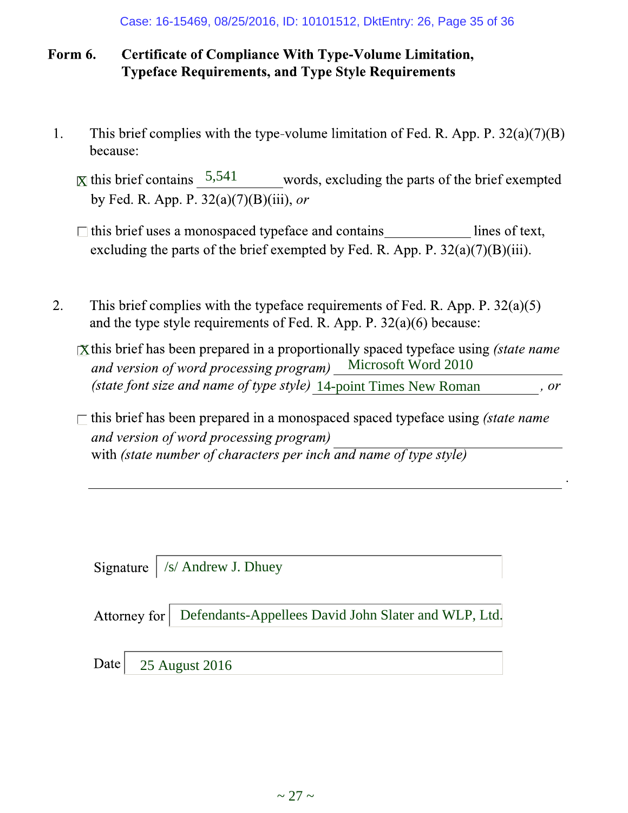#### **Certificate of Compliance With Type-Volume Limitation,** Form 6. **Typeface Requirements, and Type Style Requirements**

- This brief complies with the type-volume limitation of Fed. R. App. P.  $32(a)(7)(B)$ 1. because:
	- $\overline{X}$  this brief contains  $\frac{5,541}{\overline{X}}$ by Fed. R. App. P.  $32(a)(7)(B)(iii)$ , or
	- $\Box$  this brief uses a monospaced typeface and contains lines of text, excluding the parts of the brief exempted by Fed. R. App. P.  $32(a)(7)(B)(iii)$ .
- 2. This brief complies with the type face requirements of Fed. R. App. P.  $32(a)(5)$ and the type style requirements of Fed. R. App. P.  $32(a)(6)$  because:
	- $\chi$  this brief has been prepared in a proportionally spaced typeface using (state name and version of word processing program) Microsoft Word 2010 (state font size and name of type style) 14-point Times New Roman, or
	- $\Box$  this brief has been prepared in a monospaced spaced typeface using *(state name*) and version of word processing program) with (state number of characters per inch and name of type style)

Signature  $\int$  /s/ Andrew J. Dhuey

| Attorney for   Defendants-Appellees David John Slater and WLP, Ltd. |  |
|---------------------------------------------------------------------|--|
|                                                                     |  |

25 August 2016 Date |